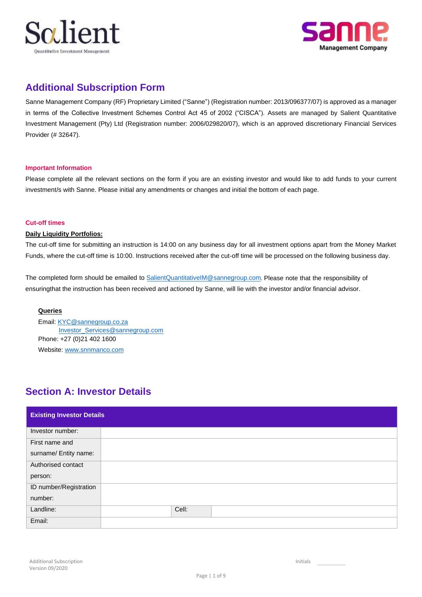



## **Additional Subscription Form**

Sanne Management Company (RF) Proprietary Limited ("Sanne") (Registration number: 2013/096377/07) is approved as a manager in terms of the Collective Investment Schemes Control Act 45 of 2002 ("CISCA"). Assets are managed by Salient Quantitative Investment Management (Pty) Ltd (Registration number: 2006/029820/07), which is an approved discretionary Financial Services Provider (# 32647).

### **Important Information**

Please complete all the relevant sections on the form if you are an existing investor and would like to add funds to your current investment/s with Sanne. Please initial any amendments or changes and initial the bottom of each page.

### **Cut-off times**

### **Daily Liquidity Portfolios:**

The cut-off time for submitting an instruction is 14:00 on any business day for all investment options apart from the Money Market Funds, where the cut-off time is 10:00. Instructions received after the cut-off time will be processed on the following business day.

ensuringthat the instruction has been received and actioned by Sanne, will lie with the investor and/or financial advisor. The completed form should be emailed to SalientQuantitativeIM@sannegroup.com. Please note that the responsibility of

### **Queries**

Email: KYC@sannegroup.co.za Investor\_Services@sannegroup.com Phone: +27 (0)21 402 1600 Website: www.snnmanco.com

## **Section A: Investor Details**

| <b>Existing Investor Details</b> |       |
|----------------------------------|-------|
| Investor number:                 |       |
| First name and                   |       |
| surname/ Entity name:            |       |
| Authorised contact               |       |
| person:                          |       |
| ID number/Registration           |       |
| number:                          |       |
| Landline:                        | Cell: |
| Email:                           |       |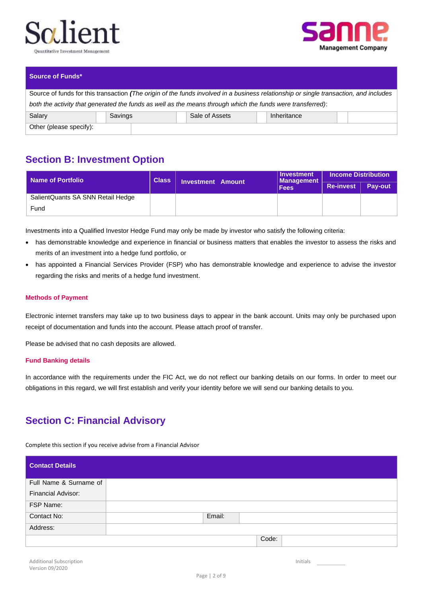



### **Source of Funds\***

| Source of funds for this transaction (The origin of the funds involved in a business relationship or single transaction, and includes |         |  |                |             |  |  |  |  |  |
|---------------------------------------------------------------------------------------------------------------------------------------|---------|--|----------------|-------------|--|--|--|--|--|
| both the activity that generated the funds as well as the means through which the funds were transferred):                            |         |  |                |             |  |  |  |  |  |
| Salary                                                                                                                                | Savings |  | Sale of Assets | Inheritance |  |  |  |  |  |
| Other (please specify):                                                                                                               |         |  |                |             |  |  |  |  |  |

## **Section B: Investment Option**

| Name of Portfolio                 | <b>Class</b> | <b>Investment Amount</b> | Investment<br><b>Management</b> | <b>Income Distribution</b> |         |  |  |  |
|-----------------------------------|--------------|--------------------------|---------------------------------|----------------------------|---------|--|--|--|
|                                   |              |                          | <b>Fees</b>                     | <b>Re-invest</b>           | Pav-out |  |  |  |
| SalientQuants SA SNN Retail Hedge |              |                          |                                 |                            |         |  |  |  |
| Fund                              |              |                          |                                 |                            |         |  |  |  |

Investments into a Qualified Investor Hedge Fund may only be made by investor who satisfy the following criteria:

- has demonstrable knowledge and experience in financial or business matters that enables the investor to assess the risks and merits of an investment into a hedge fund portfolio, or
- has appointed a Financial Services Provider (FSP) who has demonstrable knowledge and experience to advise the investor regarding the risks and merits of a hedge fund investment.

#### **Methods of Payment**

Electronic internet transfers may take up to two business days to appear in the bank account. Units may only be purchased upon receipt of documentation and funds into the account. Please attach proof of transfer.

Please be advised that no cash deposits are allowed.

### **Fund Banking details**

In accordance with the requirements under the FIC Act, we do not reflect our banking details on our forms. In order to meet our obligations in this regard, we will first establish and verify your identity before we will send our banking details to you.

# **Section C: Financial Advisory**

Complete this section if you receive advise from a Financial Advisor

| <b>Contact Details</b>    |        |       |  |  |
|---------------------------|--------|-------|--|--|
| Full Name & Surname of    |        |       |  |  |
| <b>Financial Advisor:</b> |        |       |  |  |
| FSP Name:                 |        |       |  |  |
| Contact No:               | Email: |       |  |  |
| Address:                  |        |       |  |  |
|                           |        | Code: |  |  |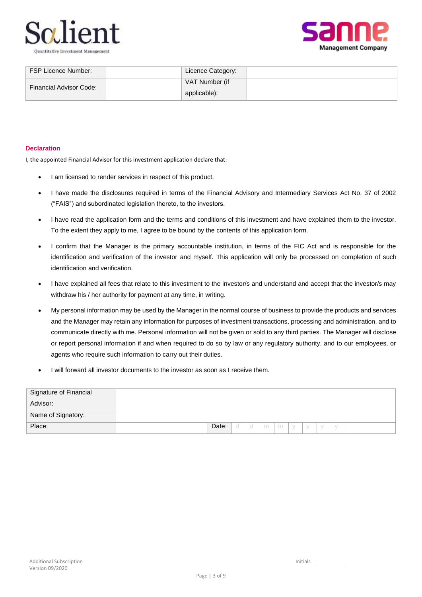



| FSP Licence Number:            | Licence Category:              |  |
|--------------------------------|--------------------------------|--|
| <b>Financial Advisor Code:</b> | VAT Number (if<br>applicable): |  |

### **Declaration**

I, the appointed Financial Advisor for this investment application declare that:

- I am licensed to render services in respect of this product.
- I have made the disclosures required in terms of the Financial Advisory and Intermediary Services Act No. 37 of 2002 ("FAIS") and subordinated legislation thereto, to the investors.
- I have read the application form and the terms and conditions of this investment and have explained them to the investor. To the extent they apply to me, I agree to be bound by the contents of this application form.
- I confirm that the Manager is the primary accountable institution, in terms of the FIC Act and is responsible for the identification and verification of the investor and myself. This application will only be processed on completion of such identification and verification.
- I have explained all fees that relate to this investment to the investor/s and understand and accept that the investor/s may withdraw his / her authority for payment at any time, in writing.
- My personal information may be used by the Manager in the normal course of business to provide the products and services and the Manager may retain any information for purposes of investment transactions, processing and administration, and to communicate directly with me. Personal information will not be given or sold to any third parties. The Manager will disclose or report personal information if and when required to do so by law or any regulatory authority, and to our employees, or agents who require such information to carry out their duties.
- I will forward all investor documents to the investor as soon as I receive them.

| Signature of Financial |                                                   |
|------------------------|---------------------------------------------------|
| Advisor:               |                                                   |
| Name of Signatory:     |                                                   |
| Place:                 | Date:<br>mm<br>$\circ$<br>$\vee$<br>- y<br>$\vee$ |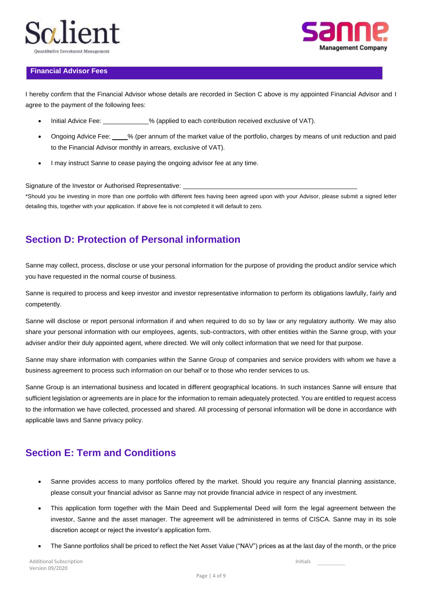



### **Financial Advisor Fees**

I hereby confirm that the Financial Advisor whose details are recorded in Section C above is my appointed Financial Advisor and I agree to the payment of the following fees:

- Initial Advice Fee:  $\%$  (applied to each contribution received exclusive of VAT).
- Ongoing Advice Fee: % (per annum of the market value of the portfolio, charges by means of unit reduction and paid to the Financial Advisor monthly in arrears, exclusive of VAT).
- I may instruct Sanne to cease paying the ongoing advisor fee at any time.

Signature of the Investor or Authorised Representative:

\*Should you be investing in more than one portfolio with different fees having been agreed upon with your Advisor, please submit a signed letter detailing this, together with your application. If above fee is not completed it will default to zero.

## **Section D: Protection of Personal information**

Sanne may collect, process, disclose or use your personal information for the purpose of providing the product and/or service which you have requested in the normal course of business.

Sanne is required to process and keep investor and investor representative information to perform its obligations lawfully, fairly and competently.

Sanne will disclose or report personal information if and when required to do so by law or any regulatory authority. We may also share your personal information with our employees, agents, sub-contractors, with other entities within the Sanne group, with your adviser and/or their duly appointed agent, where directed. We will only collect information that we need for that purpose.

Sanne may share information with companies within the Sanne Group of companies and service providers with whom we have a business agreement to process such information on our behalf or to those who render services to us.

Sanne Group is an international business and located in different geographical locations. In such instances Sanne will ensure that sufficient legislation or agreements are in place for the information to remain adequately protected. You are entitled to request access to the information we have collected, processed and shared. All processing of personal information will be done in accordance with applicable laws and Sanne privacy policy.

## **Section E: Term and Conditions**

- Sanne provides access to many portfolios offered by the market. Should you require any financial planning assistance, please consult your financial advisor as Sanne may not provide financial advice in respect of any investment.
- This application form together with the Main Deed and Supplemental Deed will form the legal agreement between the investor, Sanne and the asset manager. The agreement will be administered in terms of CISCA. Sanne may in its sole discretion accept or reject the investor's application form.
- The Sanne portfolios shall be priced to reflect the Net Asset Value ("NAV") prices as at the last day of the month, or the price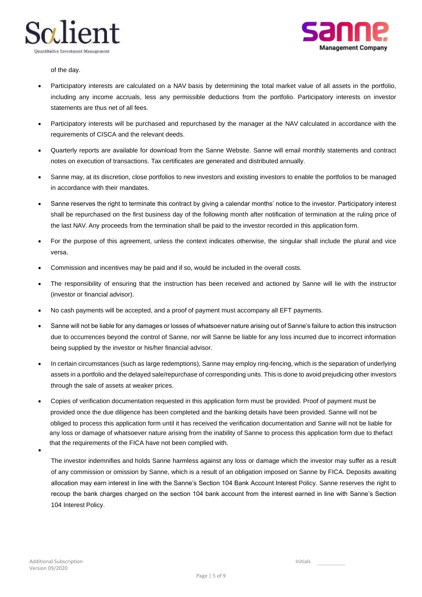



of the day.

- statements are thus net of all fees. including any income accruals, less any permissible deductions from the portfolio. Participatory interests on investor Participatory interests are calculated on a NAV basis by determining the total market value of all assets in the portfolio,
- requirements of CISCA and the relevant deeds. Participatory interests will be purchased and repurchased by the manager at the NAV calculated in accordance with the
- notes on execution of transactions. Tax certificates are generated and distributed annually. Quarterly reports are available for download from the Sanne Website. Sanne will email monthly statements and contract
- in accordance with their mandates. Sanne may, at its discretion, close portfolios to new investors and existing investors to enable the portfolios to be managed
- the last NAV. Any proceeds from the termination shall be paid to the investor recorded in this application form. shall be repurchased on the first business day of the following month after notification of termination at the ruling price of Sanne reserves the right to terminate this contract by giving a calendar months' notice to the investor. Participatory interest
- versa. For the purpose of this agreement, unless the context indicates otherwise, the singular shall include the plural and vice
- Commission and incentives may be paid and if so, would be included in the overall costs.
- (investor or financial advisor). The responsibility of ensuring that the instruction has been received and actioned by Sanne will lie with the instructor
- No cash payments will be accepted, and a proof of payment must accompany all EFT payments.
- being supplied by the investor or his/her financial advisor. due to occurrences beyond the control of Sanne, nor will Sanne be liable for any loss incurred due to incorrect information Sanne will not be liable for any damages or losses of whatsoever nature arising out of Sanne's failure to action this instruction
- through the sale of assets at weaker prices. assets in a portfolio and the delayed sale/repurchase of corresponding units. This is done to avoid prejudicing other investors In certain circumstances (such as large redemptions), Sanne may employ ring-fencing, which is the separation of underlying
- Copies of verification documentation requested in this application form must be provided. Proof of payment must be that the requirements of the FICA have not been complied with. any loss or damage of whatsoever nature arising from the inability of Sanne to process this application form due to thefact obliged to process this application form until it has received the verification documentation and Sanne will not be liable for provided once the due diligence has been completed and the banking details have been provided. Sanne will not be

•

104 Interest Policy. recoup the bank charges charged on the section 104 bank account from the interest earned in line with Sanne's Section allocation may earn interest in line with the Sanne's Section 104 Bank Account Interest Policy. Sanne reserves the right to of any commission or omission by Sanne, which is a result of an obligation imposed on Sanne by FICA. Deposits awaiting The investor indemnifies and holds Sanne harmless against any loss or damage which the investor may suffer as a result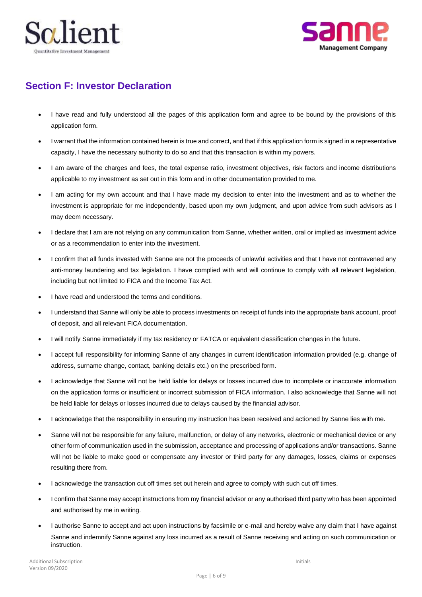



## **Section F: Investor Declaration**

- I have read and fully understood all the pages of this application form and agree to be bound by the provisions of this application form.
- I warrant that the information contained herein is true and correct, and that if this application form is signed in a representative capacity, I have the necessary authority to do so and that this transaction is within my powers.
- I am aware of the charges and fees, the total expense ratio, investment objectives, risk factors and income distributions applicable to my investment as set out in this form and in other documentation provided to me.
- I am acting for my own account and that I have made my decision to enter into the investment and as to whether the investment is appropriate for me independently, based upon my own judgment, and upon advice from such advisors as I may deem necessary.
- I declare that I am are not relying on any communication from Sanne, whether written, oral or implied as investment advice or as a recommendation to enter into the investment.
- I confirm that all funds invested with Sanne are not the proceeds of unlawful activities and that I have not contravened any anti-money laundering and tax legislation. I have complied with and will continue to comply with all relevant legislation, including but not limited to FICA and the Income Tax Act.
- I have read and understood the terms and conditions.
- I understand that Sanne will only be able to process investments on receipt of funds into the appropriate bank account, proof of deposit, and all relevant FICA documentation.
- I will notify Sanne immediately if my tax residency or FATCA or equivalent classification changes in the future.
- I accept full responsibility for informing Sanne of any changes in current identification information provided (e.g. change of address, surname change, contact, banking details etc.) on the prescribed form.
- I acknowledge that Sanne will not be held liable for delays or losses incurred due to incomplete or inaccurate information on the application forms or insufficient or incorrect submission of FICA information. I also acknowledge that Sanne will not be held liable for delays or losses incurred due to delays caused by the financial advisor.
- I acknowledge that the responsibility in ensuring my instruction has been received and actioned by Sanne lies with me.
- Sanne will not be responsible for any failure, malfunction, or delay of any networks, electronic or mechanical device or any other form of communication used in the submission, acceptance and processing of applications and/or transactions. Sanne will not be liable to make good or compensate any investor or third party for any damages, losses, claims or expenses resulting there from.
- I acknowledge the transaction cut off times set out herein and agree to comply with such cut off times.
- I confirm that Sanne may accept instructions from my financial advisor or any authorised third party who has been appointed and authorised by me in writing.
- I authorise Sanne to accept and act upon instructions by facsimile or e-mail and hereby waive any claim that I have against Sanne and indemnify Sanne against any loss incurred as a result of Sanne receiving and acting on such communication or instruction.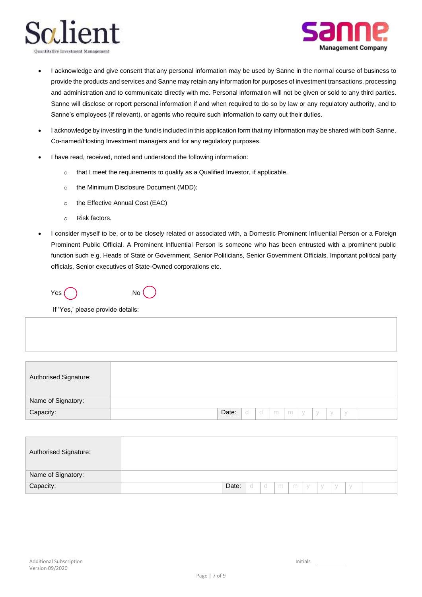



- I acknowledge and give consent that any personal information may be used by Sanne in the normal course of business to provide the products and services and Sanne may retain any information for purposes of investment transactions, processing and administration and to communicate directly with me. Personal information will not be given or sold to any third parties. Sanne will disclose or report personal information if and when required to do so by law or any regulatory authority, and to Sanne's employees (if relevant), or agents who require such information to carry out their duties.
- I acknowledge by investing in the fund/s included in this application form that my information may be shared with both Sanne, Co-named/Hosting Investment managers and for any regulatory purposes.
- I have read, received, noted and understood the following information:
	- o that I meet the requirements to qualify as a Qualified Investor, if applicable.
	- o the Minimum Disclosure Document (MDD);
	- o the Effective Annual Cost (EAC)
	- o Risk factors.
- I consider myself to be, or to be closely related or associated with, a Domestic Prominent Influential Person or a Foreign Prominent Public Official. A Prominent Influential Person is someone who has been entrusted with a prominent public function such e.g. Heads of State or Government, Senior Politicians, Senior Government Officials, Important political party officials, Senior executives of State-Owned corporations etc.

 $Yes( )$  No

If 'Yes,' please provide details:

| Authorised Signature: |       |   |          |    |  |            |        |     |  |
|-----------------------|-------|---|----------|----|--|------------|--------|-----|--|
| Name of Signatory:    |       |   |          |    |  |            |        |     |  |
| Capacity:             | Date: | d | $\alpha$ | mm |  | $y \mid y$ | $\vee$ | - y |  |

| Authorised Signature: |       |      |     |     |   |   |     |  |  |
|-----------------------|-------|------|-----|-----|---|---|-----|--|--|
| Name of Signatory:    |       |      |     |     |   |   |     |  |  |
| Capacity:             | Date: | - Cl | 'd- | m l | m | У | - V |  |  |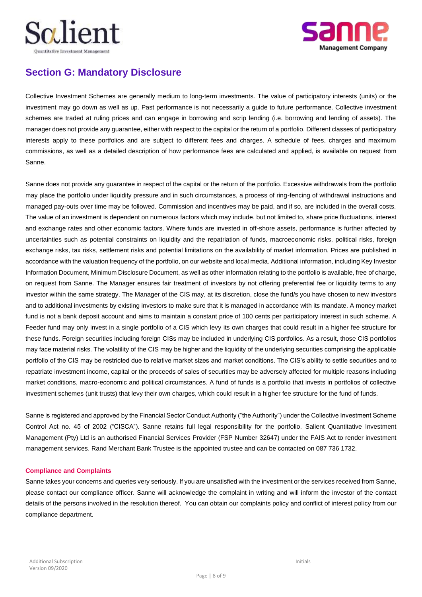



# **Section G: Mandatory Disclosure**

Collective Investment Schemes are generally medium to long-term investments. The value of participatory interests (units) or the investment may go down as well as up. Past performance is not necessarily a guide to future performance. Collective investment schemes are traded at ruling prices and can engage in borrowing and scrip lending (i.e. borrowing and lending of assets). The manager does not provide any guarantee, either with respect to the capital or the return of a portfolio. Different classes of participatory interests apply to these portfolios and are subject to different fees and charges. A schedule of fees, charges and maximum commissions, as well as a detailed description of how performance fees are calculated and applied, is available on request from Sanne.

Sanne does not provide any guarantee in respect of the capital or the return of the portfolio. Excessive withdrawals from the portfolio may place the portfolio under liquidity pressure and in such circumstances, a process of ring-fencing of withdrawal instructions and managed pay-outs over time may be followed. Commission and incentives may be paid, and if so, are included in the overall costs. The value of an investment is dependent on numerous factors which may include, but not limited to, share price fluctuations, interest and exchange rates and other economic factors. Where funds are invested in off-shore assets, performance is further affected by uncertainties such as potential constraints on liquidity and the repatriation of funds, macroeconomic risks, political risks, foreign exchange risks, tax risks, settlement risks and potential limitations on the availability of market information. Prices are published in accordance with the valuation frequency of the portfolio, on our website and local media. Additional information, including Key Investor Information Document, Minimum Disclosure Document, as well as other information relating to the portfolio is available, free of charge, on request from Sanne. The Manager ensures fair treatment of investors by not offering preferential fee or liquidity terms to any investor within the same strategy. The Manager of the CIS may, at its discretion, close the fund/s you have chosen to new investors and to additional investments by existing investors to make sure that it is managed in accordance with its mandate. A money market fund is not a bank deposit account and aims to maintain a constant price of 100 cents per participatory interest in such scheme. A Feeder fund may only invest in a single portfolio of a CIS which levy its own charges that could result in a higher fee structure for these funds. Foreign securities including foreign CISs may be included in underlying CIS portfolios. As a result, those CIS portfolios may face material risks. The volatility of the CIS may be higher and the liquidity of the underlying securities comprising the applicable portfolio of the CIS may be restricted due to relative market sizes and market conditions. The CIS's ability to settle securities and to repatriate investment income, capital or the proceeds of sales of securities may be adversely affected for multiple reasons including market conditions, macro-economic and political circumstances. A fund of funds is a portfolio that invests in portfolios of collective investment schemes (unit trusts) that levy their own charges, which could result in a higher fee structure for the fund of funds.

Sanne is registered and approved by the Financial Sector Conduct Authority ("the Authority") under the Collective Investment Scheme Control Act no. 45 of 2002 ("CISCA"). Sanne retains full legal responsibility for the portfolio. Salient Quantitative Investment Management (Pty) Ltd is an authorised Financial Services Provider (FSP Number 32647) under the FAIS Act to render investment management services. Rand Merchant Bank Trustee is the appointed trustee and can be contacted on 087 736 1732.

### **Compliance and Complaints**

Sanne takes your concerns and queries very seriously. If you are unsatisfied with the investment or the services received from Sanne, please contact our compliance officer. Sanne will acknowledge the complaint in writing and will inform the investor of the contact details of the persons involved in the resolution thereof. You can obtain our complaints policy and conflict of interest policy from our compliance department.